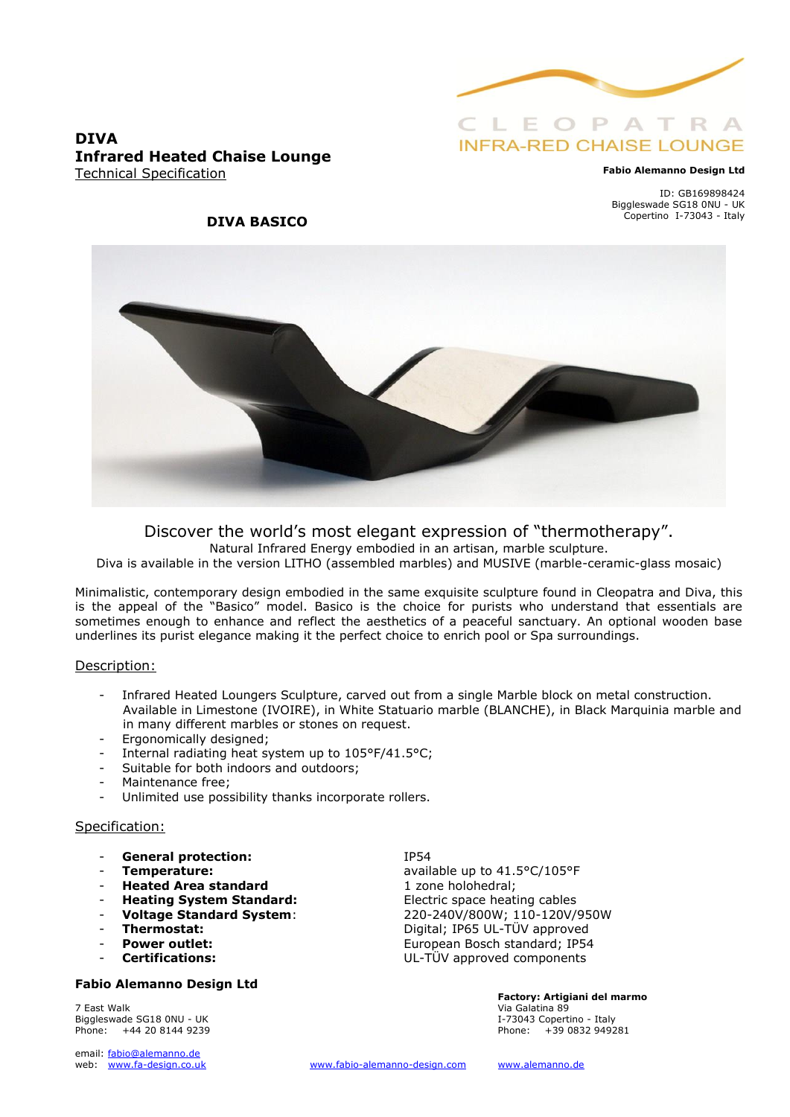

# **INFRA-RED CHAISE LOUNGE**

#### **Fabio Alemanno Design Ltd**

ID: GB169898424 Biggleswade SG18 0NU - UK Copertino I-73043 - Italy

### **DIVA Infrared Heated Chaise Lounge** Technical Specification

### **DIVA BASICO**



Discover the world's most elegant expression of "thermotherapy".

Natural Infrared Energy embodied in an artisan, marble sculpture.

Diva is available in the version LITHO (assembled marbles) and MUSIVE (marble-ceramic-glass mosaic)

Minimalistic, contemporary design embodied in the same exquisite sculpture found in Cleopatra and Diva, this is the appeal of the "Basico" model. Basico is the choice for purists who understand that essentials are sometimes enough to enhance and reflect the aesthetics of a peaceful sanctuary. An optional wooden base underlines its purist elegance making it the perfect choice to enrich pool or Spa surroundings.

### Description:

- Infrared Heated Loungers Sculpture, carved out from a single Marble block on metal construction. Available in Limestone (IVOIRE), in White Statuario marble (BLANCHE), in Black Marquinia marble and in many different marbles or stones on request.
- Ergonomically designed;
- Internal radiating heat system up to 105°F/41.5°C;
- Suitable for both indoors and outdoors;
- Maintenance free:
- Unlimited use possibility thanks incorporate rollers.

### Specification:

- **General protection:** IP54
- 
- **Heated Area standard** 1 zone holohedral;
- **Heating System Standard:** Electric space heating cables
- 
- 
- 
- 

### **Fabio Alemanno Design Ltd**

7 East Walk Via Galatina 89 Biggleswade SG18 0NU - UK **I-73043** Copertino - Italy Phone: +44 20 8144 9239 Phone: +39 0832 949281

email: fabio@alemanno.de<br>web: www.fa-design.co.uk

- **Temperature:** available up to 41.5°C/105°F - **Voltage Standard System**: 220-240V/800W; 110-120V/950W - **Thermostat:** Digital; IP65 UL-TÜV approved Power outlet: **Power outlet:** European Bosch standard; IP54 - **Certifications:** UL-TÜV approved components

**Factory: Artigiani del marmo**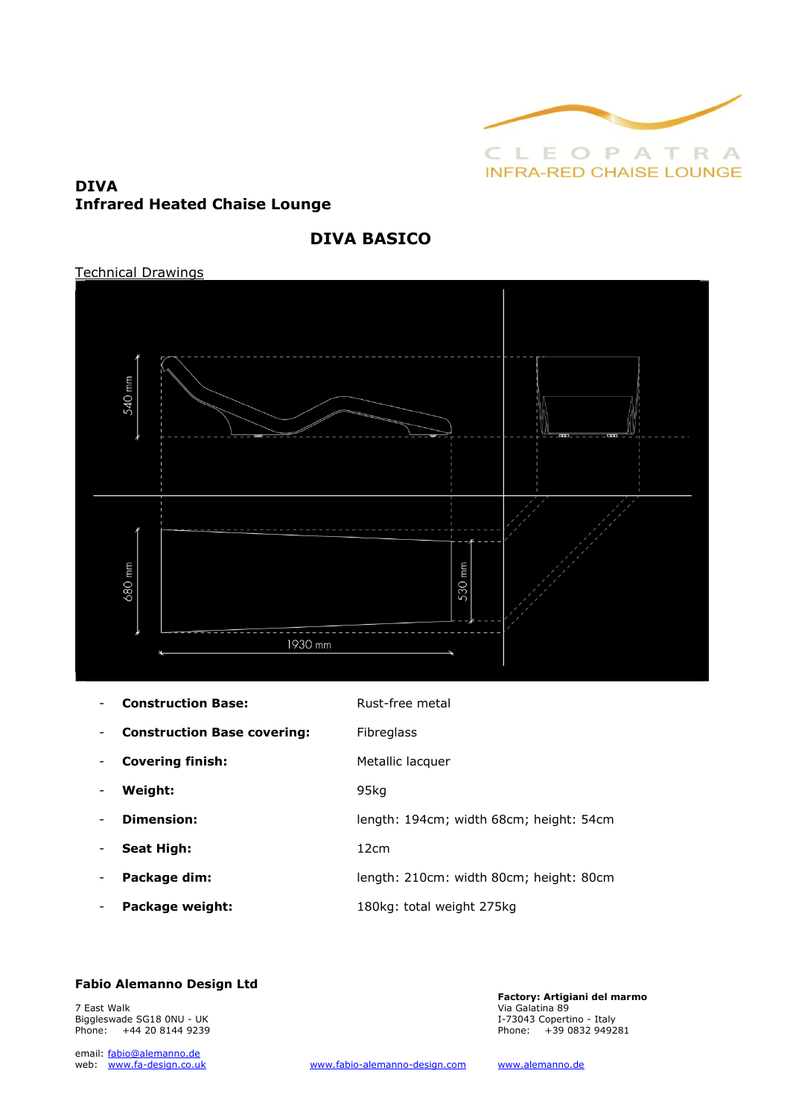

### **DIVA Infrared Heated Chaise Lounge**

### **DIVA BASICO**

### Technical Drawings



| <b>Construction Base:</b> |
|---------------------------|
|                           |

|  | <b>Construction Base covering:</b> |  |  |
|--|------------------------------------|--|--|
|--|------------------------------------|--|--|

- 
- **Construction Base covering:** Fibreglass
- **Covering finish:** Metallic lacquer
- **Weight:** 95kg
- **Dimension:** length: 194cm; width 68cm; height: 54cm
- **Seat High:** 12cm
- **Package dim:** length: 210cm: width 80cm; height: 80cm
- **Package weight:** 180kg: total weight 275kg

**Fabio Alemanno Design Ltd**

Rust-free metal

**Factory: Artigiani del marmo**  7 East Walk Via Galatina 89 Biggleswade SG18 0NU - UK I-73043 Copertino - Italy

Phone: +44 20 8144 9239 email: fabio@alemanno.de<br>web: www.fa-design.co.uk

[www.fabio-alemanno-design.com](http://www.fabio-alemanno-design.com/) [www.alemanno.de](http://www.alemanno.de/)